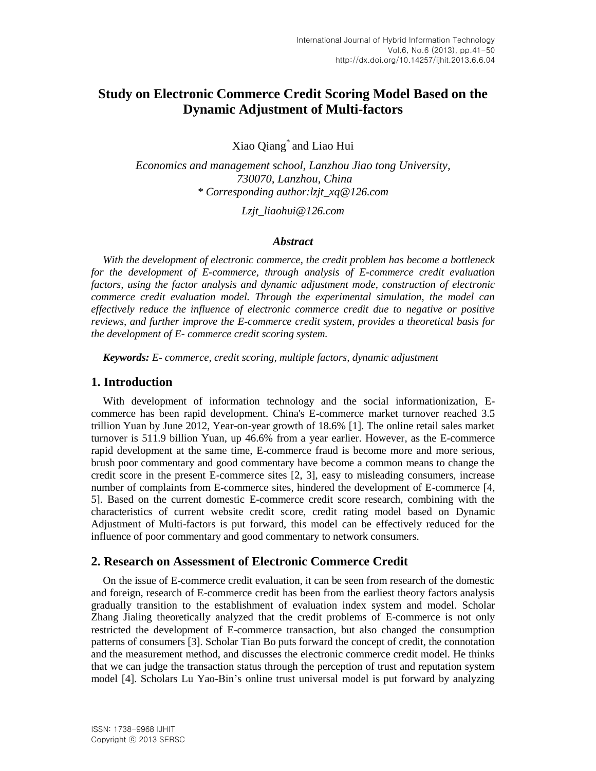# **Study on Electronic Commerce Credit Scoring Model Based on the Dynamic Adjustment of Multi-factors**

Xiao Qiang\* and Liao Hui

*Economics and management school, Lanzhou Jiao tong University, 730070, Lanzhou, China \* Corresponding author:lzjt\_xq@126.com*

*Lzjt\_liaohui@126.com*

#### *Abstract*

*With the development of electronic commerce, the credit problem has become a bottleneck for the development of E-commerce, through analysis of E-commerce credit evaluation factors, using the factor analysis and dynamic adjustment mode, construction of electronic commerce credit evaluation model. Through the experimental simulation, the model can effectively reduce the influence of electronic commerce credit due to negative or positive reviews, and further improve the E-commerce credit system, provides a theoretical basis for the development of E- commerce credit scoring system.*

*Keywords: E- commerce, credit scoring, multiple factors, dynamic adjustment*

### **1. Introduction**

With development of information technology and the social informationization, Ecommerce has been rapid development. China's E-commerce market turnover reached 3.5 trillion Yuan by June 2012, Year-on-year growth of 18.6% [1]. The online retail sales market turnover is 511.9 billion Yuan, up 46.6% from a year earlier. However, as the E-commerce rapid development at the same time, E-commerce fraud is become more and more serious, brush poor commentary and good commentary have become a common means to change the credit score in the present E-commerce sites [2, 3], easy to misleading consumers, increase number of complaints from E-commerce sites, hindered the development of E-commerce [4, 5]. Based on the current domestic E-commerce credit score research, combining with the characteristics of current website credit score, credit rating model based on Dynamic Adjustment of Multi-factors is put forward, this model can be effectively reduced for the influence of poor commentary and good commentary to network consumers.

### **2. Research on Assessment of Electronic Commerce Credit**

On the issue of E-commerce credit evaluation, it can be seen from research of the domestic and foreign, research of E-commerce credit has been from the earliest theory factors analysis gradually transition to the establishment of evaluation index system and model. Scholar Zhang Jialing theoretically analyzed that the credit problems of E-commerce is not only restricted the development of E-commerce transaction, but also changed the consumption patterns of consumers [3]. Scholar Tian Bo puts forward the concept of credit, the connotation and the measurement method, and discusses the electronic commerce credit model. He thinks that we can judge the transaction status through the perception of trust and reputation system model [4]. Scholars Lu Yao-Bin's online trust universal model is put forward by analyzing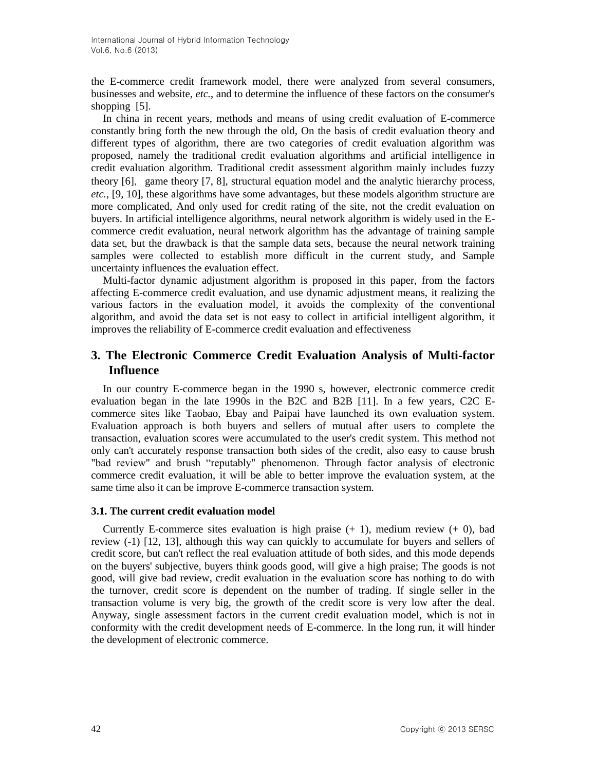the E-commerce credit framework model, there were analyzed from several consumers, businesses and website, *etc.*, and to determine the influence of these factors on the consumer's shopping [5].

In china in recent years, methods and means of using credit evaluation of E-commerce constantly bring forth the new through the old, On the basis of credit evaluation theory and different types of algorithm, there are two categories of credit evaluation algorithm was proposed, namely the traditional credit evaluation algorithms and artificial intelligence in credit evaluation algorithm. Traditional credit assessment algorithm mainly includes fuzzy theory  $[6]$ , game theory  $[7, 8]$ , structural equation model and the analytic hierarchy process, *etc.*, [9, 10], these algorithms have some advantages, but these models algorithm structure are more complicated, And only used for credit rating of the site, not the credit evaluation on buyers. In artificial intelligence algorithms, neural network algorithm is widely used in the Ecommerce credit evaluation, neural network algorithm has the advantage of training sample data set, but the drawback is that the sample data sets, because the neural network training samples were collected to establish more difficult in the current study, and Sample uncertainty influences the evaluation effect.

Multi-factor dynamic adjustment algorithm is proposed in this paper, from the factors affecting E-commerce credit evaluation, and use dynamic adjustment means, it realizing the various factors in the evaluation model, it avoids the complexity of the conventional algorithm, and avoid the data set is not easy to collect in artificial intelligent algorithm, it improves the reliability of E-commerce credit evaluation and effectiveness

# **3. The Electronic Commerce Credit Evaluation Analysis of Multi-factor Influence**

In our country E-commerce began in the 1990 s, however, electronic commerce credit evaluation began in the late 1990s in the B2C and B2B [11]. In a few years, C2C Ecommerce sites like Taobao, Ebay and Paipai have launched its own evaluation system. Evaluation approach is both buyers and sellers of mutual after users to complete the transaction, evaluation scores were accumulated to the user's credit system. This method not only can't accurately response transaction both sides of the credit, also easy to cause brush "bad review" and brush "reputably" phenomenon. Through factor analysis of electronic commerce credit evaluation, it will be able to better improve the evaluation system, at the same time also it can be improve E-commerce transaction system.

#### **3.1. The current credit evaluation model**

Currently E-commerce sites evaluation is high praise  $(+ 1)$ , medium review  $(+ 0)$ , bad review (-1) [12, 13], although this way can quickly to accumulate for buyers and sellers of credit score, but can't reflect the real evaluation attitude of both sides, and this mode depends on the buyers' subjective, buyers think goods good, will give a high praise; The goods is not good, will give bad review, credit evaluation in the evaluation score has nothing to do with the turnover, credit score is dependent on the number of trading. If single seller in the transaction volume is very big, the growth of the credit score is very low after the deal. Anyway, single assessment factors in the current credit evaluation model, which is not in conformity with the credit development needs of E-commerce. In the long run, it will hinder the development of electronic commerce.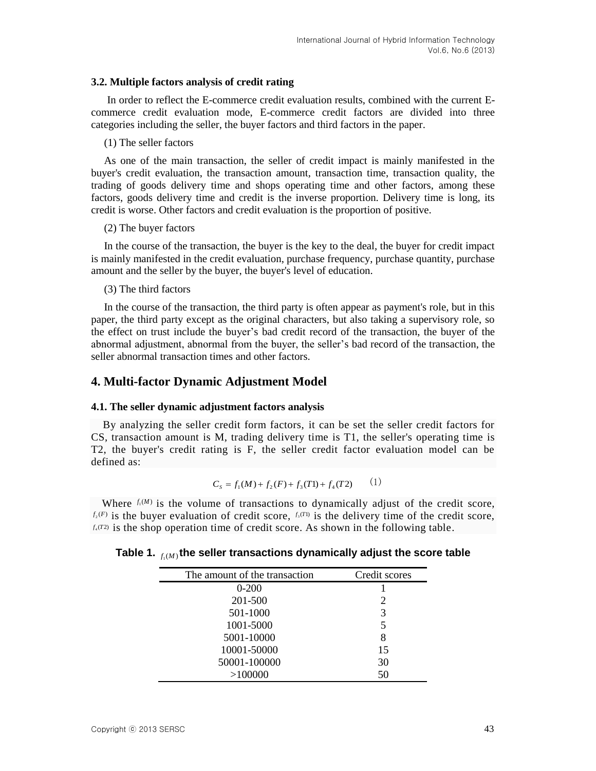#### **3.2. Multiple factors analysis of credit rating**

In order to reflect the E-commerce credit evaluation results, combined with the current Ecommerce credit evaluation mode, E-commerce credit factors are divided into three categories including the seller, the buyer factors and third factors in the paper.

(1) The seller factors

As one of the main transaction, the seller of credit impact is mainly manifested in the buyer's credit evaluation, the transaction amount, transaction time, transaction quality, the trading of goods delivery time and shops operating time and other factors, among these factors, goods delivery time and credit is the inverse proportion. Delivery time is long, its credit is worse. Other factors and credit evaluation is the proportion of positive.

(2) The buyer factors

In the course of the transaction, the buyer is the key to the deal, the buyer for credit impact is mainly manifested in the credit evaluation, purchase frequency, purchase quantity, purchase amount and the seller by the buyer, the buyer's level of education.

#### (3) The third factors

In the course of the transaction, the third party is often appear as payment's role, but in this paper, the third party except as the original characters, but also taking a supervisory role, so the effect on trust include the buyer's bad credit record of the transaction, the buyer of the abnormal adjustment, abnormal from the buyer, the seller's bad record of the transaction, the seller abnormal transaction times and other factors.

## **4. Multi-factor Dynamic Adjustment Model**

### **4.1. The seller dynamic adjustment factors analysis**

By analyzing the seller credit form factors, it can be set the seller credit factors for CS, transaction amount is M, trading delivery time is T1, the seller's operating time is T2, the buyer's credit rating is F, the seller credit factor evaluation model can be defined as:

$$
C_s = f_1(M) + f_2(F) + f_3(T1) + f_4(T2) \tag{1}
$$

Where  $f_1(M)$  is the volume of transactions to dynamically adjust of the credit score,  $f_2(F)$  is the buyer evaluation of credit score,  $f_3(T)$  is the delivery time of the credit score,  $f_4(T2)$  is the shop operation time of credit score. As shown in the following table.

Table 1.  $_{f_{1}(M)}$ the seller transactions dynamically adjust the score table

| The amount of the transaction | Credit scores |
|-------------------------------|---------------|
| $0 - 200$                     |               |
| 201-500                       | 2             |
| 501-1000                      | 3             |
| 1001-5000                     | 5             |
| 5001-10000                    | 8             |
| 10001-50000                   | 15            |
| 50001-100000                  | 30            |
| >100000                       | 50            |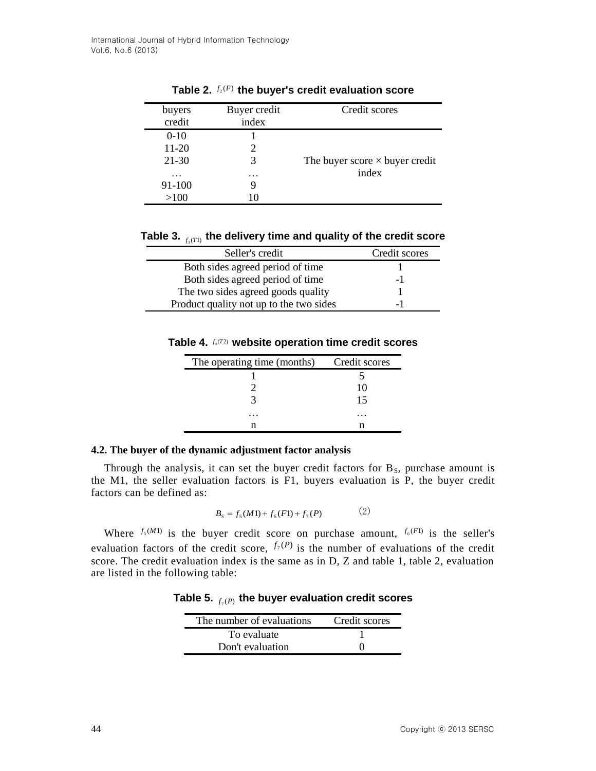| buyers            | Buyer credit | Credit scores                         |
|-------------------|--------------|---------------------------------------|
| credit            | index        |                                       |
| $0-10$            |              |                                       |
| $11 - 20$         | 2            |                                       |
| 21-30             | 3            | The buyer score $\times$ buyer credit |
| $\cdot\cdot\cdot$ | .            | index                                 |
| 91-100            | g            |                                       |
| >100              |              |                                       |
|                   |              |                                       |

Table 2.  $f_2(F)$  the buyer's credit evaluation score

Table 3.  $_{f_3(T1)}$  the delivery time and quality of the credit score

| Seller's credit                         | Credit scores |
|-----------------------------------------|---------------|
| Both sides agreed period of time        |               |
| Both sides agreed period of time        | - 1           |
| The two sides agreed goods quality      |               |
| Product quality not up to the two sides | – I           |

Table 4.  $f_4(T2)$  website operation time credit scores

| The operating time (months) | Credit scores |
|-----------------------------|---------------|
|                             |               |
|                             | 10            |
|                             | 15            |
|                             |               |
| n                           |               |

### **4.2. The buyer of the dynamic adjustment factor analysis**

Through the analysis, it can set the buyer credit factors for  $B_s$ , purchase amount is the M1, the seller evaluation factors is F1, buyers evaluation is P, the buyer credit factors can be defined as:

$$
B_s = f_5(M1) + f_6(F1) + f_7(P) \tag{2}
$$

Where  $f_s(M)$  is the buyer credit score on purchase amount,  $f_s(F)$  is the seller's evaluation factors of the credit score,  $f_7(P)$  is the number of evaluations of the credit score. The credit evaluation index is the same as in D, Z and table 1, table 2, evaluation are listed in the following table:

Table 5.  $_{f_{\gamma}(P)}$  the buyer evaluation credit scores

| The number of evaluations | Credit scores |
|---------------------------|---------------|
| To evaluate               |               |
| Don't evaluation          |               |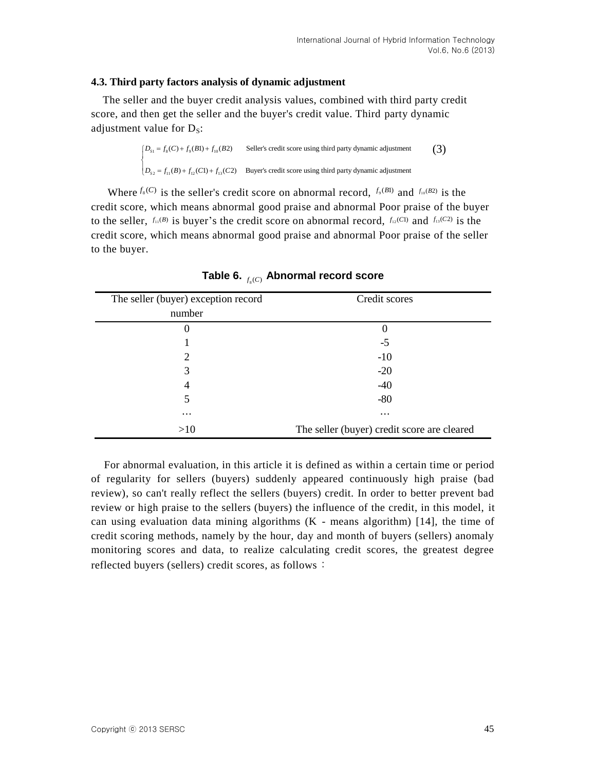#### **4.3. Third party factors analysis of dynamic adjustment**

The seller and the buyer credit analysis values, combined with third party credit score, and then get the seller and the buyer's credit value. Third party dynamic<br>adjustment value for  $D_s$ :<br> $\left\{\n\begin{array}{ll}\nD_{s_1} = f_s(C) + f_{s_1}(B1) + f_{10}(B2)\n\end{array}\n\right.$  Seller's credit score using third party dynamic adjustmen adjustment value for  $D_s$ : then get the seller and th<br>value for D<sub>S</sub>:<br> $\left[ D_{s_1} = f_8(C) + f_9(B1) + f_{10}(B2) \right]$  Se

$$
\begin{cases}\nD_{S1} = f_8(C) + f_9(B1) + f_{10}(B2) & \text{Select's credit score using third party dynamic adjustment} \\
D_{S2} = f_{11}(B) + f_{12}(C1) + f_{13}(C2) & \text{Buyer's credit score using third party dynamic adjustment}\n\end{cases}\n\tag{3}
$$

Where  $f_s(C)$  is the seller's credit score on abnormal record,  $f_s(B1)$  and  $f_{10}(B2)$  is the credit score, which means abnormal good praise and abnormal Poor praise of the buyer to the seller,  $f_{11}(B)$  is buyer's the credit score on abnormal record,  $f_{12}(C1)$  and  $f_{13}(C2)$  is the credit score, which means abnormal good praise and abnormal Poor praise of the seller to the buyer.

| The seller (buyer) exception record | Credit scores                               |  |  |  |  |  |
|-------------------------------------|---------------------------------------------|--|--|--|--|--|
| number                              |                                             |  |  |  |  |  |
| 0                                   | $\theta$                                    |  |  |  |  |  |
|                                     | $-5$                                        |  |  |  |  |  |
| 2                                   | $-10$                                       |  |  |  |  |  |
| 3                                   | $-20$                                       |  |  |  |  |  |
| 4                                   | $-40$                                       |  |  |  |  |  |
| 5                                   | $-80$                                       |  |  |  |  |  |
| $\cdots$                            | $\cdots$                                    |  |  |  |  |  |
| >10                                 | The seller (buyer) credit score are cleared |  |  |  |  |  |

Table 6.  $_{f_{8}(C)}$  Abnormal record score

For abnormal evaluation, in this article it is defined as within a certain time or period of regularity for sellers (buyers) suddenly appeared continuously high praise (bad review), so can't really reflect the sellers (buyers) credit. In order to better prevent bad review or high praise to the sellers (buyers) the influence of the credit, in this model, it can using evaluation data mining algorithms  $(K - \text{means algorithm})$  [14], the time of credit scoring methods, namely by the hour, day and month of buyers (sellers) anomaly monitoring scores and data, to realize calculating credit scores, the greatest degree reflected buyers (sellers) credit scores, as follows: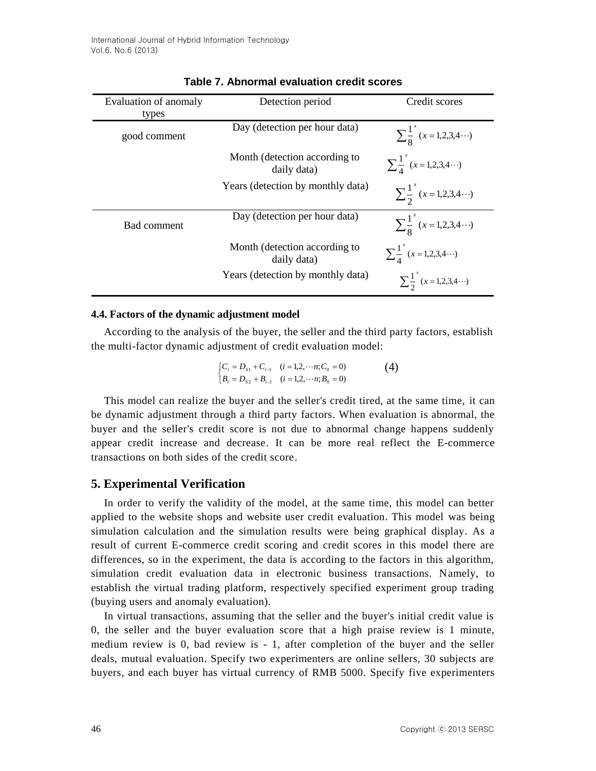| Evaluation of anomaly | Detection period                             | Credit scores                          |  |  |  |
|-----------------------|----------------------------------------------|----------------------------------------|--|--|--|
| types                 |                                              |                                        |  |  |  |
| good comment          | Day (detection per hour data)                | $\sum_{9}^{1} (x=1,2,3,4)$             |  |  |  |
|                       | Month (detection according to<br>daily data) | $\sum_{1}^{1} (x=1,2,3,4 \cdots)$      |  |  |  |
|                       | Years (detection by monthly data)            | $\sum_{1}^{1} (x=1,2,3,4)$             |  |  |  |
| Bad comment           | Day (detection per hour data)                | $\sum_{9}^{1} (x=1,2,3,4 \cdots)$      |  |  |  |
|                       | Month (detection according to<br>daily data) | $\sum_{1}^{1} (x=1,2,3,4 \cdots)$      |  |  |  |
|                       | Years (detection by monthly data)            | $\sum_{1}^{1} (x = 1, 2, 3, 4 \cdots)$ |  |  |  |

### **Table 7. Abnormal evaluation credit scores**

#### **4.4. Factors of the dynamic adjustment model**

According to the analysis of the buyer, the seller and the third party factors, establish the multi-factor dynamic adjustment of credit evaluation model:

$$
\begin{cases}\nC_i = D_{s1} + C_{i-1} & (i = 1, 2, \cdots n; C_0 = 0) \\
B_i = D_{s2} + B_{i-1} & (i = 1, 2, \cdots n; B_0 = 0)\n\end{cases}\n\tag{4}
$$

This model can realize the buyer and the seller's credit tired, at the same time, it can be dynamic adjustment through a third party factors. When evaluation is abnormal, the buyer and the seller's credit score is not due to abnormal change happens suddenly appear credit increase and decrease. It can be more real reflect the E-commerce transactions on both sides of the credit score.

### **5. Experimental Verification**

In order to verify the validity of the model, at the same time, this model can better applied to the website shops and website user credit evaluation. This model was being simulation calculation and the simulation results were being graphical display. As a result of current E-commerce credit scoring and credit scores in this model there are differences, so in the experiment, the data is according to the factors in this algorithm, simulation credit evaluation data in electronic business transactions. Namely, to establish the virtual trading platform, respectively specified experiment group trading (buying users and anomaly evaluation).

In virtual transactions, assuming that the seller and the buyer's initial credit value is 0, the seller and the buyer evaluation score that a high praise review is 1 minute, medium review is 0, bad review is - 1, after completion of the buyer and the seller deals, mutual evaluation. Specify two experimenters are online sellers, 30 subjects are buyers, and each buyer has virtual currency of RMB 5000. Specify five experimenters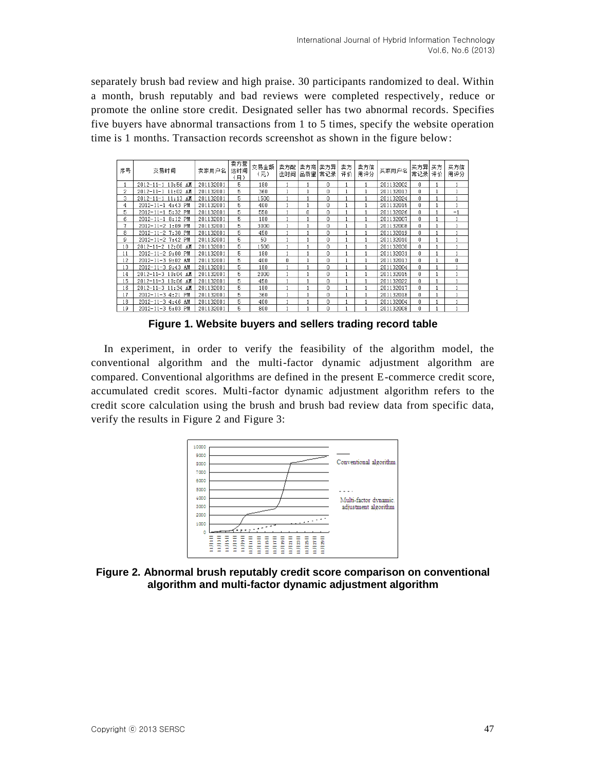separately brush bad review and high praise. 30 participants randomized to deal. Within a month, brush reputably and bad reviews were completed respectively, reduce or promote the online store credit. Designated seller has two abnormal records. Specifies five buyers have abnormal transactions from 1 to 5 times, specify the website operation time is 1 months. Transaction records screenshot as shown in the figure below:

| 序号 | 交易时间               | 卖家用户名     | 卖方营<br>运时间<br>(月) | 交易金额<br>(元) | 卖方配<br>送时间 | 卖方商<br>品质量 | 卖方异<br>常记录 | 卖方<br>评价 | 卖方信<br>用评分 | 买家用户名     | 买方异<br>常记录 | 买方<br>评价 | 买方信<br>用评分 |
|----|--------------------|-----------|-------------------|-------------|------------|------------|------------|----------|------------|-----------|------------|----------|------------|
|    | 2012-11-1 10:56 AM | 201132001 | 5                 | 180         |            |            | 0          |          |            | 201132002 | 0          |          |            |
| 2  | 2012-11-1 11:02 AM | 201132001 | 5                 | 360         |            |            | 0          |          |            | 201132013 | 0          |          |            |
| 3  | 2012-11-1 11:13 AM | 201132001 | 5                 | 1500        |            |            | 0          |          |            | 201132024 | 0          |          |            |
| 4  | 2012-11-1 4:43 PM  | 201132001 | 5                 | 400         |            |            | 0          |          |            | 201132015 | n          |          |            |
| 5  | 2012-11-1 5:32 PM  | 201132001 | 5                 | 550         |            | 0          | 0          |          |            | 201132026 | 0          |          | $-1$       |
| 6  | 2012-11-1 8:12 PM  | 201132001 | 5                 | 180         |            |            | Ō          |          |            | 201132007 | 0          |          |            |
| 7  | 2012-11-2 1:09 PM  | 201132001 | 5                 | 3000        |            |            | 0          |          |            | 201132008 | 0          |          |            |
| 8  | 2012-11-2 7:30 PM  | 201132001 | 5                 | 450         |            |            | 0          |          |            | 201132019 | 0          |          |            |
| 9  | 2012-11-2 7:42 PM  | 201132001 | 5                 | 50          |            |            | 0          |          |            | 201132010 | 0          |          |            |
| 10 | 2012-11-2 12:00 AM | 201132001 | 5                 | 1500        |            |            | 0          |          |            | 201132030 | $\Omega$   |          |            |
| 11 | 2012-11-2 9:00 PM  | 201132001 | 5                 | 180         |            |            | n.         |          |            | 201132031 | n          |          |            |
| 12 | 2012-11-3 9:02 AM  | 201132001 | 5                 | 400         | 0          |            | Ū          |          |            | 201132013 | n          |          | 0.         |
| 13 | 2012-11-3 9:43 AM  | 201132001 | 5                 | 180         |            |            | Ō          |          |            | 201132004 | $\Omega$   |          |            |
| 14 | 2012-11-3 10:04 AM | 201132001 | 5                 | 2000        |            |            | 0          |          |            | 201132015 | 0          |          |            |
| 15 | 2012-11-3 10:06 AM | 201132001 | 5                 | 450         |            |            | 0          |          |            | 201132022 | 0          |          |            |
| 16 | 2012-11-3 11:34 AM | 201132001 | 5                 | 180         |            |            | 0          |          |            | 201132017 | 0          |          |            |
| 17 | 2012-11-3 4:21 PM  | 201132001 | 5                 | 360         |            |            | 0          |          |            | 201132018 | $\Omega$   |          |            |
| 18 | 2012-11-3 4:46 AM  | 201132001 | 5                 | 400         |            |            | 0          |          |            | 201132004 | 0          |          |            |
| 19 | 2012-11-3 5:03 PM  | 201132001 | 5                 | 800         |            |            | Ū          |          |            | 201132008 | n          |          |            |

**Figure 1. Website buyers and sellers trading record table**

In experiment, in order to verify the feasibility of the algorithm model, the conventional algorithm and the multi-factor dynamic adjustment algorithm are compared. Conventional algorithms are defined in the present E-commerce credit score, accumulated credit scores. Multi-factor dynamic adjustment algorithm refers to the credit score calculation using the brush and brush bad review data from specific data, verify the results in Figure 2 and Figure 3:



**Figure 2. Abnormal brush reputably credit score comparison on conventional algorithm and multi-factor dynamic adjustment algorithm**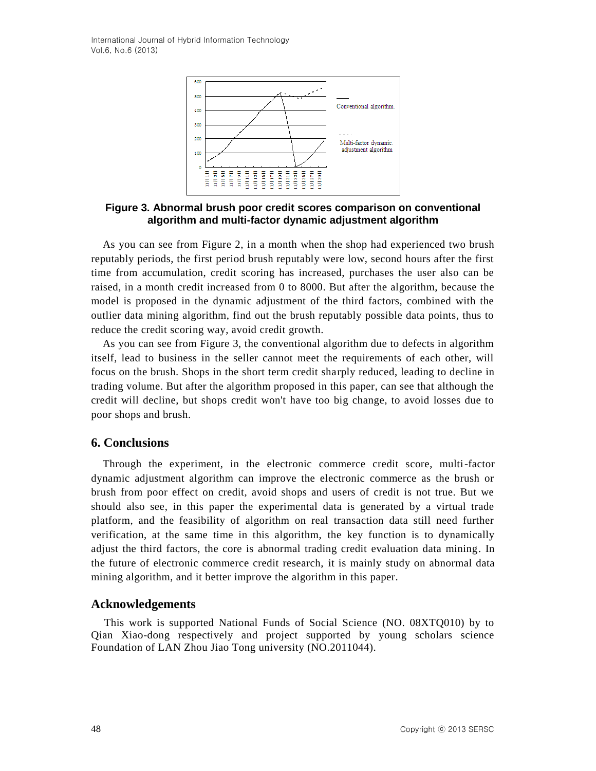International Journal of Hybrid Information Technology Vol.6, No.6 (2013)



**Figure 3. Abnormal brush poor credit scores comparison on conventional algorithm and multi-factor dynamic adjustment algorithm**

As you can see from Figure 2, in a month when the shop had experienced two brush reputably periods, the first period brush reputably were low, second hours after the first time from accumulation, credit scoring has increased, purchases the user also can be raised, in a month credit increased from 0 to 8000. But after the algorithm, because the model is proposed in the dynamic adjustment of the third factors, combined with the outlier data mining algorithm, find out the brush reputably possible data points, thus to reduce the credit scoring way, avoid credit growth.

As you can see from Figure 3, the conventional algorithm due to defects in algorithm itself, lead to business in the seller cannot meet the requirements of each other, will focus on the brush. Shops in the short term credit sharply reduced, leading to decline in trading volume. But after the algorithm proposed in this paper, can see that although the credit will decline, but shops credit won't have too big change, to avoid losses due to poor shops and brush.

### **6. Conclusions**

Through the experiment, in the electronic commerce credit score, multi-factor dynamic adjustment algorithm can improve the electronic commerce as the brush or brush from poor effect on credit, avoid shops and users of credit is not true. But we should also see, in this paper the experimental data is generated by a virtual trade platform, and the feasibility of algorithm on real transaction data still need further verification, at the same time in this algorithm, the key function is to dynamically adjust the third factors, the core is abnormal trading credit evaluation data mining. In the future of electronic commerce credit research, it is mainly study on abnormal data mining algorithm, and it better improve the algorithm in this paper.

#### **Acknowledgements**

This work is supported National Funds of Social Science (NO. 08XTQ010) by to Qian Xiao-dong respectively and project supported by young scholars science Foundation of LAN Zhou Jiao Tong university (NO.2011044).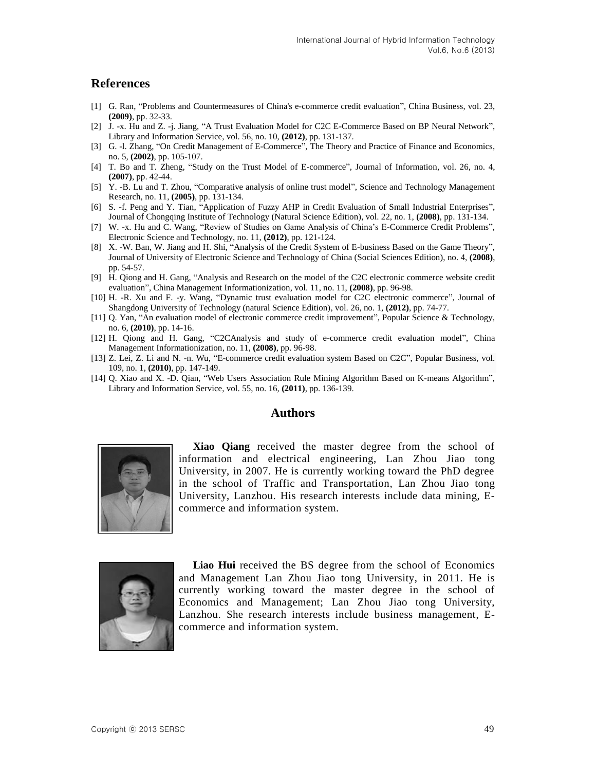### **References**

- [1] G. Ran, "Problems and Countermeasures of China's e-commerce credit evaluation", China Business, vol. 23, **(2009)**, pp. 32-33.
- [2] J. -x. Hu and Z. -j. Jiang, "A Trust Evaluation Model for C2C E-Commerce Based on BP Neural Network", Library and Information Service, vol. 56, no. 10, **(2012)**, pp. 131-137.
- [3] G. -l. Zhang, "On Credit Management of E-Commerce", The Theory and Practice of Finance and Economics, no. 5, **(2002)**, pp. 105-107.
- [4] T. Bo and T. Zheng, "Study on the Trust Model of E-commerce", Journal of Information, vol. 26, no. 4, **(2007)**, pp. 42-44.
- [5] Y. -B. Lu and T. Zhou, "Comparative analysis of online trust model", Science and Technology Management Research, no. 11, **(2005)**, pp. 131-134.
- [6] S. -f. Peng and Y. Tian, "Application of Fuzzy AHP in Credit Evaluation of Small Industrial Enterprises", Journal of Chongqing Institute of Technology (Natural Science Edition), vol. 22, no. 1, **(2008)**, pp. 131-134.
- [7] W. -x. Hu and C. Wang, "Review of Studies on Game Analysis of China's E-Commerce Credit Problems", Electronic Science and Technology, no. 11, **(2012)**, pp. 121-124.
- [8] X. -W. Ban, W. Jiang and H. Shi, "Analysis of the Credit System of E-business Based on the Game Theory", Journal of University of Electronic Science and Technology of China (Social Sciences Edition), no. 4, **(2008)**, pp. 54-57.
- [9] H. Qiong and H. Gang, "Analysis and Research on the model of the C2C electronic commerce website credit evaluation", China Management Informationization, vol. 11, no. 11, **(2008)**, pp. 96-98.
- [10] H. -R. Xu and F. -y. Wang, "Dynamic trust evaluation model for C2C electronic commerce", Journal of Shangdong University of Technology (natural Science Edition), vol. 26, no. 1, **(2012)**, pp. 74-77.
- [11] Q. Yan, "An evaluation model of electronic commerce credit improvement", Popular Science & Technology, no. 6, **(2010)**, pp. 14-16.
- [12] H. Qiong and H. Gang, "C2CAnalysis and study of e-commerce credit evaluation model", China Management Informationization, no. 11, **(2008)**, pp. 96-98.
- [13] Z. Lei, Z. Li and N. -n. Wu, "E-commerce credit evaluation system Based on C2C", Popular Business, vol. 109, no. 1, **(2010)**, pp. 147-149.
- [14] Q. Xiao and X. -D. Qian, "Web Users Association Rule Mining Algorithm Based on K-means Algorithm", Library and Information Service, vol. 55, no. 16, **(2011)**, pp. 136-139.

#### **Authors**



**Xiao Qiang** received the master degree from the school of information and electrical engineering, Lan Zhou Jiao tong University, in 2007. He is currently working toward the PhD degree in the school of Traffic and Transportation, Lan Zhou Jiao tong University, Lanzhou. His research interests include data mining, Ecommerce and information system.



**Liao Hui** received the BS degree from the school of Economics and Management Lan Zhou Jiao tong University, in 2011. He is currently working toward the master degree in the school of Economics and Management; Lan Zhou Jiao tong University, Lanzhou. She research interests include business management, Ecommerce and information system.